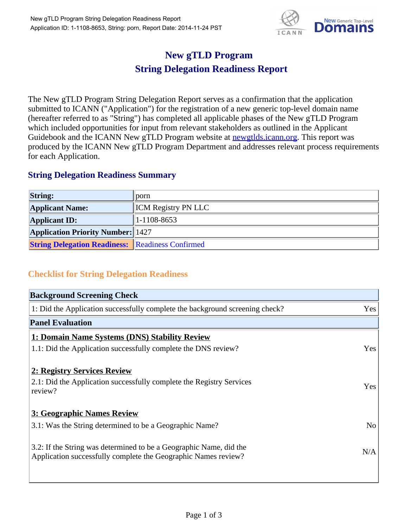

## **New gTLD Program String Delegation Readiness Report**

The New gTLD Program String Delegation Report serves as a confirmation that the application submitted to ICANN ("Application") for the registration of a new generic top-level domain name (hereafter referred to as "String") has completed all applicable phases of the New gTLD Program which included opportunities for input from relevant stakeholders as outlined in the Applicant Guidebook and the ICANN New gTLD Program website at newgtlds.icann.org. This report was produced by the ICANN New gTLD Program Department and addresses relevant process requirements for each Application.

## **String Delegation Readiness Summary**

| <b>String:</b>                                          | $\mathbf{p}$               |
|---------------------------------------------------------|----------------------------|
| <b>Applicant Name:</b>                                  | <b>ICM</b> Registry PN LLC |
| <b>Applicant ID:</b>                                    | $ 1-1108-8653 $            |
| <b>Application Priority Number:</b> 1427                |                            |
| <b>String Delegation Readiness: Readiness Confirmed</b> |                            |

## **Checklist for String Delegation Readiness**

| <b>Background Screening Check</b>                                                                                                    |                |
|--------------------------------------------------------------------------------------------------------------------------------------|----------------|
| 1: Did the Application successfully complete the background screening check?                                                         | Yes            |
| <b>Panel Evaluation</b>                                                                                                              |                |
| 1: Domain Name Systems (DNS) Stability Review                                                                                        |                |
| 1.1: Did the Application successfully complete the DNS review?                                                                       | Yes            |
| 2: Registry Services Review                                                                                                          |                |
| 2.1: Did the Application successfully complete the Registry Services<br>review?                                                      | Yes            |
| 3: Geographic Names Review                                                                                                           |                |
| 3.1: Was the String determined to be a Geographic Name?                                                                              | N <sub>o</sub> |
| 3.2: If the String was determined to be a Geographic Name, did the<br>Application successfully complete the Geographic Names review? | N/A            |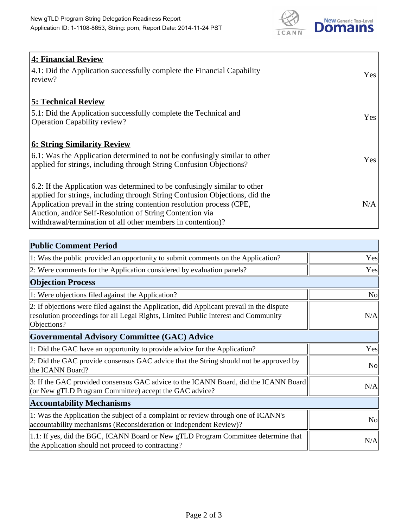

| <b>4: Financial Review</b><br>$\vert$ 4.1: Did the Application successfully complete the Financial Capability<br>review?                                                                                                                                                                                                                                     | <b>Yes</b> |
|--------------------------------------------------------------------------------------------------------------------------------------------------------------------------------------------------------------------------------------------------------------------------------------------------------------------------------------------------------------|------------|
| <b>5: Technical Review</b><br>5.1: Did the Application successfully complete the Technical and<br><b>Operation Capability review?</b>                                                                                                                                                                                                                        | <b>Yes</b> |
| <b>6: String Similarity Review</b><br>$\vert$ 6.1: Was the Application determined to not be confusingly similar to other<br>applied for strings, including through String Confusion Objections?                                                                                                                                                              | Yes        |
| 6.2: If the Application was determined to be confusingly similar to other<br>applied for strings, including through String Confusion Objections, did the<br>Application prevail in the string contention resolution process (CPE,<br>Auction, and/or Self-Resolution of String Contention via<br>withdrawal/termination of all other members in contention)? | N/A        |

| <b>Public Comment Period</b>                                                                                                                                                                   |                |
|------------------------------------------------------------------------------------------------------------------------------------------------------------------------------------------------|----------------|
| 1: Was the public provided an opportunity to submit comments on the Application?                                                                                                               | Yes            |
| 2: Were comments for the Application considered by evaluation panels?                                                                                                                          | Yes            |
| <b>Objection Process</b>                                                                                                                                                                       |                |
| 1: Were objections filed against the Application?                                                                                                                                              | N <sub>0</sub> |
| 2: If objections were filed against the Application, did Applicant prevail in the dispute<br>resolution proceedings for all Legal Rights, Limited Public Interest and Community<br>Objections? | N/A            |
| Governmental Advisory Committee (GAC) Advice                                                                                                                                                   |                |
| 1: Did the GAC have an opportunity to provide advice for the Application?                                                                                                                      | Yes            |
| 2: Did the GAC provide consensus GAC advice that the String should not be approved by<br>the ICANN Board?                                                                                      | N <sub>o</sub> |
| 3: If the GAC provided consensus GAC advice to the ICANN Board, did the ICANN Board<br>(or New gTLD Program Committee) accept the GAC advice?                                                  | N/A            |
| <b>Accountability Mechanisms</b>                                                                                                                                                               |                |
| 1: Was the Application the subject of a complaint or review through one of ICANN's<br>accountability mechanisms (Reconsideration or Independent Review)?                                       | N <sub>0</sub> |
| 1.1: If yes, did the BGC, ICANN Board or New gTLD Program Committee determine that<br>the Application should not proceed to contracting?                                                       | N/A            |